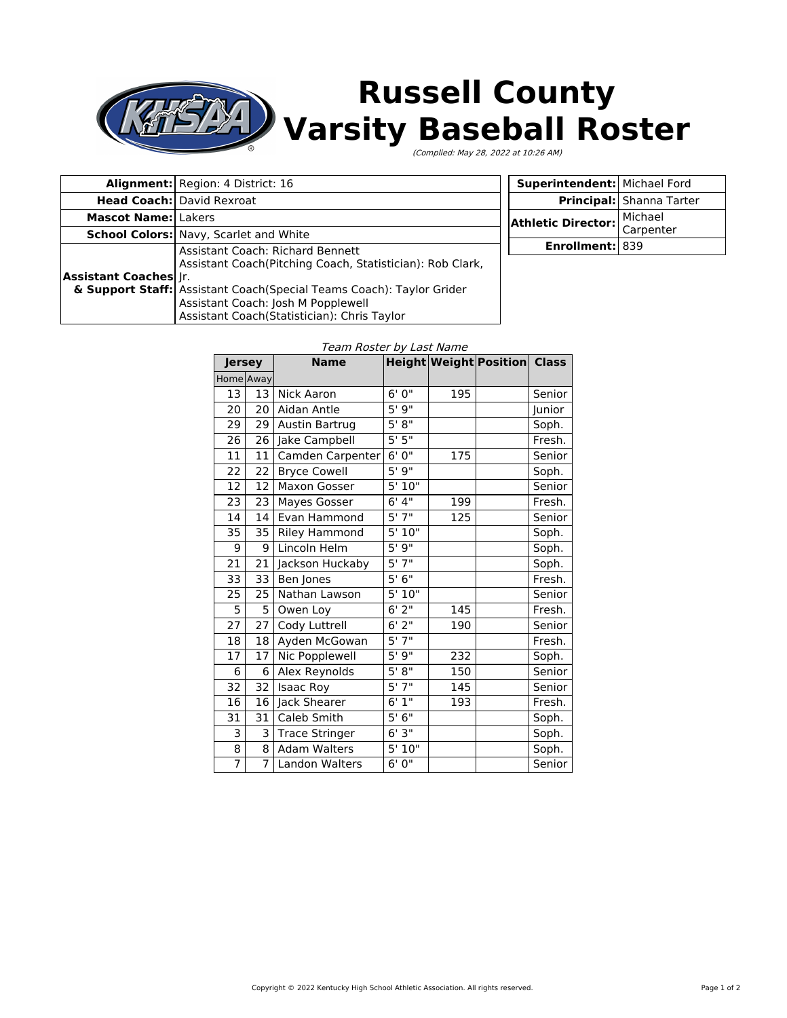

## **Russell County Varsity Baseball Roster**

(Complied: May 28, 2022 at 10:26 AM)

|                                                                                                                                                                                                                                                                                             | Alignment: Region: 4 District: 16             |
|---------------------------------------------------------------------------------------------------------------------------------------------------------------------------------------------------------------------------------------------------------------------------------------------|-----------------------------------------------|
|                                                                                                                                                                                                                                                                                             | <b>Head Coach:</b> David Rexroat              |
| <b>Mascot Name: Lakers</b>                                                                                                                                                                                                                                                                  |                                               |
|                                                                                                                                                                                                                                                                                             | <b>School Colors:</b> Navy, Scarlet and White |
| Assistant Coach: Richard Bennett<br>Assistant Coach(Pitching Coach, Statistician): Rob Clark,<br><b>Assistant Coaches</b> Jr.<br>& Support Staff: Assistant Coach (Special Teams Coach): Taylor Grider<br>Assistant Coach: Josh M Popplewell<br>Assistant Coach(Statistician): Chris Taylor |                                               |

| Superintendent: Michael Ford |                          |  |
|------------------------------|--------------------------|--|
|                              | Principal: Shanna Tarter |  |
| Athletic Director:           | Michael<br>Carpenter     |  |
|                              |                          |  |
| Enrollment: 839              |                          |  |
|                              |                          |  |

## Team Roster by Last Name

| <b>Jersey</b>  |                 | <b>Name</b>           |                       |     | Height Weight Position Class |        |
|----------------|-----------------|-----------------------|-----------------------|-----|------------------------------|--------|
| Home Away      |                 |                       |                       |     |                              |        |
| 13             | 13 <sup>1</sup> | Nick Aaron            | 6'0''                 | 195 |                              | Senior |
| 20             | 20 <sup>1</sup> | Aidan Antle           | 5'9''                 |     |                              | Junior |
| 29             | 29              | Austin Bartrug        | 5' 8''                |     |                              | Soph.  |
| 26             | 26              | Jake Campbell         | 5'5''                 |     |                              | Fresh. |
| 11             | 11              | Camden Carpenter      | 6'0''                 | 175 |                              | Senior |
| 22             | 22              | <b>Bryce Cowell</b>   | 5'9''                 |     |                              | Soph.  |
| 12             | 12              | Maxon Gosser          | 5'10"                 |     |                              | Senior |
| 23             | 23              | <b>Mayes Gosser</b>   | 6' 4''                | 199 |                              | Fresh. |
| 14             | 14              | Evan Hammond          | 5'7''                 | 125 |                              | Senior |
| 35             | 35              | <b>Riley Hammond</b>  | 5'10"                 |     |                              | Soph.  |
| 9              | 9               | Lincoln Helm          | 5'9''                 |     |                              | Soph.  |
| 21             | 21              | Jackson Huckaby       | 5'7''                 |     |                              | Soph.  |
| 33             | 33              | Ben Jones             | 5'6''                 |     |                              | Fresh. |
| 25             | 25              | Nathan Lawson         | 5'10"                 |     |                              | Senior |
| 5              | 5               | Owen Loy              | $6'$ $\overline{2''}$ | 145 |                              | Fresh. |
| 27             | 27              | Cody Luttrell         | 6'2''                 | 190 |                              | Senior |
| 18             | 18              | Ayden McGowan         | 5'7''                 |     |                              | Fresh. |
| 17             | 17              | Nic Popplewell        | 5'9''                 | 232 |                              | Soph.  |
| 6              | 6               | Alex Reynolds         | $5'$ $8''$            | 150 |                              | Senior |
| 32             | 32              | <b>Isaac Roy</b>      | $5'$ $7''$            | 145 |                              | Senior |
| 16             | 16              | Jack Shearer          | 6'1''                 | 193 |                              | Fresh. |
| 31             | 31              | Caleb Smith           | 5'6''                 |     |                              | Soph.  |
| 3              | 3               | <b>Trace Stringer</b> | 6'3''                 |     |                              | Soph.  |
| 8              | 8               | <b>Adam Walters</b>   | 5'10"                 |     |                              | Soph.  |
| $\overline{7}$ | $\overline{7}$  | <b>Landon Walters</b> | 6' 0"                 |     |                              | Senior |